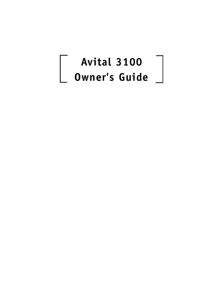## **Avital 3100 Owner's Guide**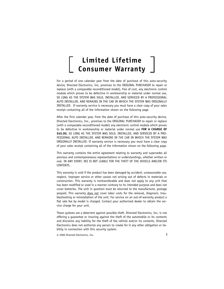### **Limited Lifetime Consumer Warranty**

For a period of one calendar year from the date of purchase of this auto-security device, Directed Electronics, Inc. promises to the ORIGINAL PURCHASER to repair or replace (with a comparable reconditioned model), free of cost, any electronic control module which proves to be defective in workmanship or material under normal use, SO LONG AS THE SYSTEM WAS SOLD, INSTALLED, AND SERVICED BY A PROFESSIONAL AUTO INSTALLER, AND REMAINS IN THE CAR IN WHICH THE SYSTEM WAS ORIGINALLY INSTALLED. If warranty service is necessary you must have a clear copy of your sales receipt containing all of the information shown on the following page.

After the first calendar year, from the date of purchase of this auto-security device, Directed Electronics, Inc., promises to the ORIGINAL PURCHASER to repair or replace (with a comparable reconditioned model) any electronic control module which proves to be defective in workmanship or material under normal use **FOR A CHARGE OF \$45.00,** SO LONG AS THE SYSTEM WAS SOLD, INSTALLED, AND SERVICED BY A PRO-FESSIONAL AUTO INSTALLER, AND REMAINS IN THE CAR IN WHICH THE SYSTEM WAS ORIGINALLY INSTALLED. If warranty service is necessary you must have a clear copy of your sales receipt containing all of the information shown on the following page.

This warranty contains the entire agreement relating to warranty and supersedes all previous and contemporaneous representations or understandings, whether written or oral. IN ANY EVENT, DEI IS NOT LIABLE FOR THE THEFT OF THE VEHICLE AND/OR ITS CONTENTS.

This warranty is void if the product has been damaged by accident, unreasonable use, neglect, improper service or other causes not arising out of defects in materials or construction. This warranty is nontransferable and does not apply to any unit that has been modified or used in a manner contrary to its intended purpose and does not cover batteries. The unit in question must be returned to the manufacturer, postage prepaid. This warranty does not cover labor costs for the removal, diagnosis, troubleshooting or reinstallation of the unit. For service on an out-of-warranty product a flat rate fee by model is charged. Contact your authorized dealer to obtain the service charge for your unit.

These systems are a deterrent against possible theft. Directed Electronics, Inc. is not offering a guarantee or insuring against the theft of the automobile or its contents and disclaims any liability for the theft of the vehicle and/or its contents. Directed Electronics does not authorize any person to create for it any other obligation or liability in connection with this security system.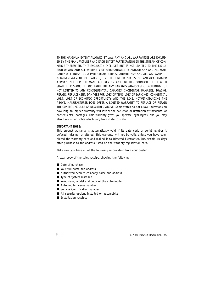TO THE MAXIMUM EXTENT ALLOWED BY LAW, ANY AND ALL WARRANTIES ARE EXCLUD-ED BY THE MANUFACTURER AND EACH ENTITY PARTICIPATING IN THE STREAM OF COM-MERCE THEREWITH. THIS EXCLUSION INCLUDES BUT IS NOT LIMITED TO THE EXCLU-SION OF ANY AND ALL WARRANTY OF MERCHANTABILITY AND/OR ANY AND ALL WAR-RANTY OF FITNESS FOR A PARTICULAR PURPOSE AND/OR ANY AND ALL WARRANTY OF NON-INFRINGEMENT OF PATENTS, IN THE UNITED STATES OF AMERICA AND/OR ABROAD. NEITHER THE MANUFACTURER OR ANY ENTITIES CONNECTED THEREWITH SHALL BE RESPONSIBLE OR LIABLE FOR ANY DAMAGES WHATSOEVER, INCLUDING BUT NOT LIMITED TO ANY CONSEQUENTIAL DAMAGES, INCIDENTAL DAMAGES, TOWING, REPAIR, REPLACEMENT, DAMAGES FOR LOSS OF TIME, LOSS OF EARNINGS, COMMERCIAL LOSS, LOSS OF ECONOMIC OPPORTUNITY AND THE LIKE. NOTWITHSTANDING THE ABOVE, MANUFACTURER DOES OFFER A LIMITED WARRANTY TO REPLACE OR REPAIR THE CONTROL MODULE AS DESCRIBED ABOVE. Some states do not allow limitations on how long an implied warranty will last or the exclusion or limitation of incidental or consequential damages. This warranty gives you specific legal rights, and you may also have other rights which vary from state to state.

#### **IMPORTANT NOTE:**

This product warranty is automatically void if its date code or serial number is defaced, missing, or altered. This warranty will not be valid unless you have completed the warranty card and mailed it to Directed Electronics, Inc. within 10 days after purchase to the address listed on the warranty registration card.

Make sure you have all of the following information from your dealer:

A clear copy of the sales receipt, showing the following:

- Date of purchase
- Your full name and address
- Authorized dealer's company name and address
- Type of system installed
- Year, make, model and color of the automobile
- Automobile license number
- Vehicle identification number
- All security options installed on automobile
- Installation receipts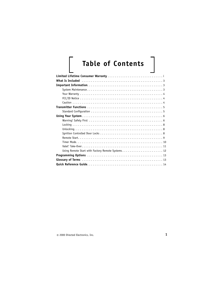# **Table of Contents**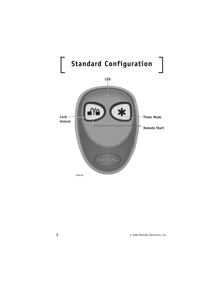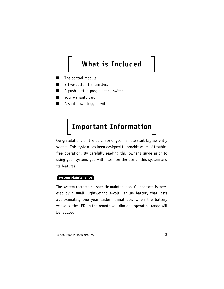### **What is Included**

- The control module
- 2 two-button transmitters
- A push-button programming switch
- Your warranty card
- A shut-down toggle switch

### **Important Information**

Congratulations on the purchase of your remote start keyless entry system. This system has been designed to provide years of troublefree operation. By carefully reading this owner's guide prior to using your system, you will maximize the use of this system and its features.

#### **System Maintenance**

The system requires no specific maintenance. Your remote is powered by a small, lightweight 3-volt lithium battery that lasts approximately one year under normal use. When the battery weakens, the LED on the remote will dim and operating range will be reduced.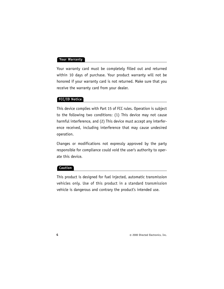#### **Your Warranty**

Your warranty card must be completely filled out and returned within 10 days of purchase. Your product warranty will not be honored if your warranty card is not returned. Make sure that you receive the warranty card from your dealer.

#### **FCC/ID Notice**

This device complies with Part 15 of FCC rules. Operation is subject to the following two conditions: (1) This device may not cause harmful interference, and (2) This device must accept any interference received, including interference that may cause undesired operation.

Changes or modifications not expressly approved by the party responsible for compliance could void the user's authority to operate this device.

#### **Caution**

This product is designed for fuel injected, automatic transmission vehicles only. Use of this product in a standard transmission vehicle is dangerous and contrary the product's intended use.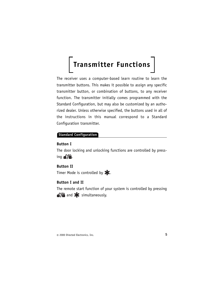### **Transmitter Functions**

The receiver uses a computer-based learn routine to learn the transmitter buttons. This makes it possible to assign any specific transmitter button, or combination of buttons, to any receiver function. The transmitter initially comes programmed with the Standard Configuration, but may also be customized by an authorized dealer. Unless otherwise specified, the buttons used in all of the instructions in this manual correspond to a Standard Configuration transmitter.

#### **Standard Configuration**

#### **Button I**

The door locking and unlocking functions are controlled by pressing  $a$ / $\theta$ .

**Button II**  Timer Mode is controlled by  $\blacktriangleright$ .

#### **Button I and II**

The remote start function of your system is controlled by pressing  $\mathbf{s}/\mathbf{a}$  and  $\mathbf{\times}$  simultaneously.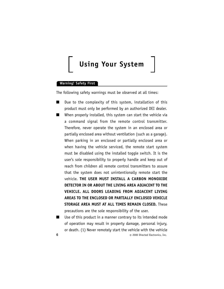### **Using Your System**

#### **Warning! Safety First**

The following safety warnings must be observed at all times:

- Due to the complexity of this system, installation of this product must only be performed by an authorized DEI dealer.
- When properly installed, this system can start the vehicle via a command signal from the remote control transmitter. Therefore, never operate the system in an enclosed area or partially enclosed area without ventilation (such as a garage). When parking in an enclosed or partially enclosed area or when having the vehicle serviced, the remote start system must be disabled using the installed toggle switch. It is the user's sole responsibility to properly handle and keep out of reach from children all remote control transmitters to assure that the system does not unintentionally remote start the vehicle. **THE USER MUST INSTALL A CARBON MONOXIDE DETECTOR IN OR ABOUT THE LIVING AREA ADJACENT TO THE VEHICLE. ALL DOORS LEADING FROM ADJACENT LIVING AREAS TO THE ENCLOSED OR PARTIALLY ENCLOSED VEHICLE STORAGE AREA MUST AT ALL TIMES REMAIN CLOSED.** These precautions are the sole responsibility of the user.
- **6** © 2000 Directed Electronics, Inc. ■ Use of this product in a manner contrary to its intended mode of operation may result in property damage, personal injury, or death. (1) Never remotely start the vehicle with the vehicle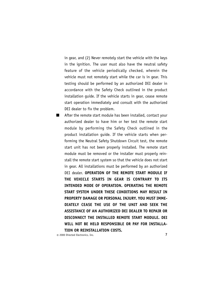in gear, and (2) Never remotely start the vehicle with the keys in the ignition. The user must also have the neutral safety feature of the vehicle periodically checked, wherein the vehicle must not remotely start while the car is in gear. This testing should be performed by an authorized DEI dealer in accordance with the Safety Check outlined in the product installation guide. If the vehicle starts in gear, cease remote start operation immediately and consult with the authorized DEI dealer to fix the problem.

■ After the remote start module has been installed, contact your authorized dealer to have him or her test the remote start module by performing the Safety Check outlined in the product installation guide. If the vehicle starts when performing the Neutral Safety Shutdown Circuit test, the remote start unit has not been properly installed. The remote start module must be removed or the installer must properly reinstall the remote start system so that the vehicle does not start in gear. All installations must be performed by an authorized DEI dealer. **OPERATION OF THE REMOTE START MODULE IF THE VEHICLE STARTS IN GEAR IS CONTRARY TO ITS INTENDED MODE OF OPERATION. OPERATING THE REMOTE START SYSTEM UNDER THESE CONDITIONS MAY RESULT IN PROPERTY DAMAGE OR PERSONAL INJURY. YOU MUST IMME-DIATELY CEASE THE USE OF THE UNIT AND SEEK THE ASSISTANCE OF AN AUTHORIZED DEI DEALER TO REPAIR OR DISCONNECT THE INSTALLED REMOTE START MODULE. DEI WILL NOT BE HELD RESPONSIBLE OR PAY FOR INSTALLA-TION OR REINSTALLATION COSTS.**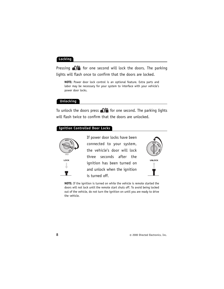#### **Locking**

Pressing  $\frac{1}{2}$  for one second will lock the doors. The parking lights will flash once to confirm that the doors are locked.

**NOTE:** Power door lock control is an optional feature. Extra parts and labor may be necessary for your system to interface with your vehicle's power door locks.

#### **Unlocking**

To unlock the doors press  $\frac{1}{2}$  for one second. The parking lights will flash twice to confirm that the doors are unlocked.

#### **Ignition Controlled Door Locks**



If power door locks have been connected to your system, the vehicle's door will lock three seconds after the ignition has been turned on and unlock when the ignition is turned off.



**NOTE:** If the ignition is turned on while the vehicle is remote started the doors will not lock until the remote start shuts off. To avoid being locked out of the vehicle, do not turn the ignition on until you are ready to drive the vehicle.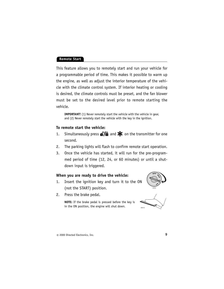#### **Remote Start**

This feature allows you to remotely start and run your vehicle for a programmable period of time. This makes it possible to warm up the engine, as well as adjust the interior temperature of the vehicle with the climate control system. If interior heating or cooling is desired, the climate controls must be preset, and the fan blower must be set to the desired level prior to remote starting the vehicle.

**IMPORTANT!** (1) Never remotely start the vehicle with the vehicle in gear, and (2) Never remotely start the vehicle with the key in the ignition.

#### **To remote start the vehicle:**

- 1. Simultaneously press  $\frac{1}{2}$  and  $\frac{1}{2}$  on the transmitter for one second.
- 2. The parking lights will flash to confirm remote start operation.
- 3. Once the vehicle has started, it will run for the pre-programmed period of time (12, 24, or 60 minutes) or until a shutdown input is triggered.

#### **When you are ready to drive the vehicle:**

- 1. Insert the ignition key and turn it to the ON (not the START) position.
- 2. Press the brake pedal.



**NOTE:** If the brake pedal is pressed before the key is in the ON position, the engine will shut down.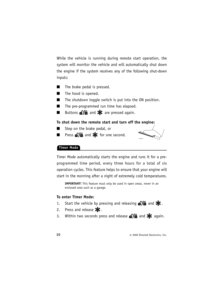While the vehicle is running during remote start operation, the system will monitor the vehicle and will automatically shut down the engine if the system receives any of the following shut-down inputs:

- The brake pedal is pressed.
- The hood is opened.
- The shutdown toggle switch is put into the ON position.
- The pre-programmed run time has elapsed.
- **■** Buttons  $\sqrt{2}$  and  $\frac{1}{2}$  are pressed again.

#### **To shut down the remote start and turn off the engine:**

- Step on the brake pedal, or
- **■** Press  $\frac{1}{2}$  and  $\frac{1}{2}$  for one second.



#### **Timer Mode**

Timer Mode automatically starts the engine and runs it for a preprogrammed time period, every three hours for a total of six operation cycles. This feature helps to ensure that your engine will start in the morning after a night of extremely cold temperatures.

**IMPORTANT!** This feature must only be used in open areas, never in an enclosed area such as a garage.

#### **To enter Timer Mode:**

- 1. Start the vehicle by pressing and releasing  $\sqrt{2}$  and  $\frac{1}{2}$ .
- 2. Press and release  $\blacktriangleright$ .
- 3. Within two seconds press and release  $\sqrt{2}$  and  $\approx$  again.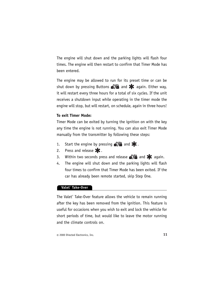The engine will shut down and the parking lights will flash four times. The engine will then restart to confirm that Timer Mode has been entered.

The engine may be allowed to run for its preset time or can be shut down by pressing Buttons  $\sqrt{2}$  and  $\approx$  again. Either way, it will restart every three hours for a total of six cycles. If the unit receives a shutdown input while operating in the timer mode the engine will stop, but will restart, on schedule, again in three hours!

#### **To exit Timer Mode:**

Timer Mode can be exited by turning the ignition on with the key any time the engine is not running. You can also exit Timer Mode manually from the transmitter by following these steps:

- 1. Start the engine by pressing  $\frac{1}{2}$  and  $\frac{1}{2}$ .
- 2. Press and release  $\blacktriangleright$ .
- 3. Within two seconds press and release  $\sqrt{2}$  and  $\blacktriangleright$  again.
- 4. The engine will shut down and the parking lights will flash four times to confirm that Timer Mode has been exited. If the car has already been remote started, skip Step One.

#### **Valet® Take-Over**

The Valet® Take-Over feature allows the vehicle to remain running after the key has been removed from the ignition. This feature is useful for occasions when you wish to exit and lock the vehicle for short periods of time, but would like to leave the motor running and the climate controls on.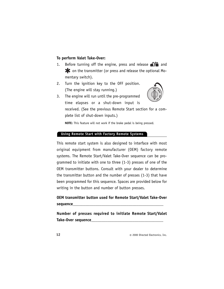#### **To perform Valet Take-Over:**

- 1. Before turning off the engine, press and release  $\sqrt{2}$  and on the transmitter (or press and release the optional Momentary switch).
- 2. Turn the ignition key to the OFF position. (The engine will stay running.)



3. The engine will run until the pre-programmed time elapses or a shut-down input is received. (See the previous Remote Start section for a complete list of shut-down inputs.)

**NOTE:** This feature will not work if the brake pedal is being pressed.

#### **Using Remote Start with Factory Remote Systems**

This remote start system is also designed to interface with most original equipment from manufacturer (OEM) factory remote systems. The Remote Start/Valet Take-Over sequence can be programmed to initiate with one to three (1-3) presses of one of the OEM transmitter buttons. Consult with your dealer to determine the transmitter button and the number of presses (1-3) that have been programmed for this sequence. Spaces are provided below for writing in the button and number of button presses.

**OEM transmitter button used for Remote Start/Valet Take-Over sequence\_\_\_\_\_\_\_\_\_\_\_\_\_\_\_\_\_\_\_\_\_\_\_\_\_\_\_\_\_\_\_\_\_\_\_\_\_\_\_\_\_\_\_\_**

**Number of presses required to initiate Remote Start/Valet Take-Over sequence\_\_\_\_\_\_\_\_\_\_\_\_\_\_\_\_\_\_\_\_\_\_\_\_\_\_\_\_\_\_\_\_\_\_\_**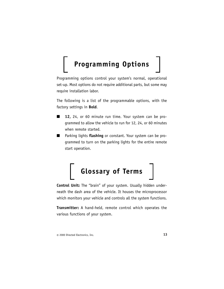### **Programming Options**

Programming options control your system's normal, operational set-up. Most options do not require additional parts, but some may require installation labor.

The following is a list of the programmable options, with the factory settings in **Bold**.

- **12,** 24, or 60 minute run time. Your system can be programmed to allow the vehicle to run for 12, 24, or 60 minutes when remote started.
- Parking lights **flashing** or constant. Your system can be programmed to turn on the parking lights for the entire remote start operation.



**Control Unit:** The "brain" of your system. Usually hidden underneath the dash area of the vehicle. It houses the microprocessor which monitors your vehicle and controls all the system functions.

**Transmitter:** A hand-held, remote control which operates the various functions of your system.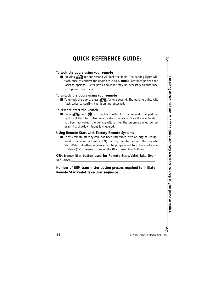#### **QUICK REFERENCE GUIDE:**

#### **To lock the doors using your remote**

**■** Pressing  $\bigcirc$  for one second will lock the doors. The parking lights will flash once to confirm the doors are locked. **NOTE:** Control of power door locks is optional. Extra parts and labor may be necessary to interface with power door locks.

#### **To unlock the doors using your remote**

 $\blacksquare$  To unlock the doors, press  $\bigcirc$  for one second. The parking lights will flash twice to confirm the doors are unlocked.

#### **To remote start the vehicle**

■ Press **aVe** and  $\bullet$  on the transmitter for one second. The parking lights will flash to confirm remote start operation. Once the remote start has been activated, the vehicle will run for the preprogrammed period or until a shutdown input is triggered.

#### **Using Remote Start with Factory Remote Systems**

■ If this remote start system has been interfaced with an original equipment from manufacturer (OEM) factory remote system, the Remote Start/Valet Take-Over sequence can be programmed to initiate with one to three (1-3) presses of one of the OEM transmitter buttons.

#### **OEM transmitter button used for Remote Start/Valet Take-Over sequence\_\_\_\_\_\_\_\_\_\_\_\_\_\_\_\_\_\_\_\_\_\_\_\_\_\_\_\_\_\_\_\_\_\_\_\_\_\_\_\_\_\_\_\_\_\_**

**Number of OEM transmitter button presses required to initiate Remote Start/Valet Take-Over sequence\_\_\_\_\_\_\_\_\_\_\_\_\_\_\_\_\_\_\_\_**

**Cut along dotted line and fold for a quick and easy reference to keep in your purse or wallet.**  $\chi$ 

 $\chi$